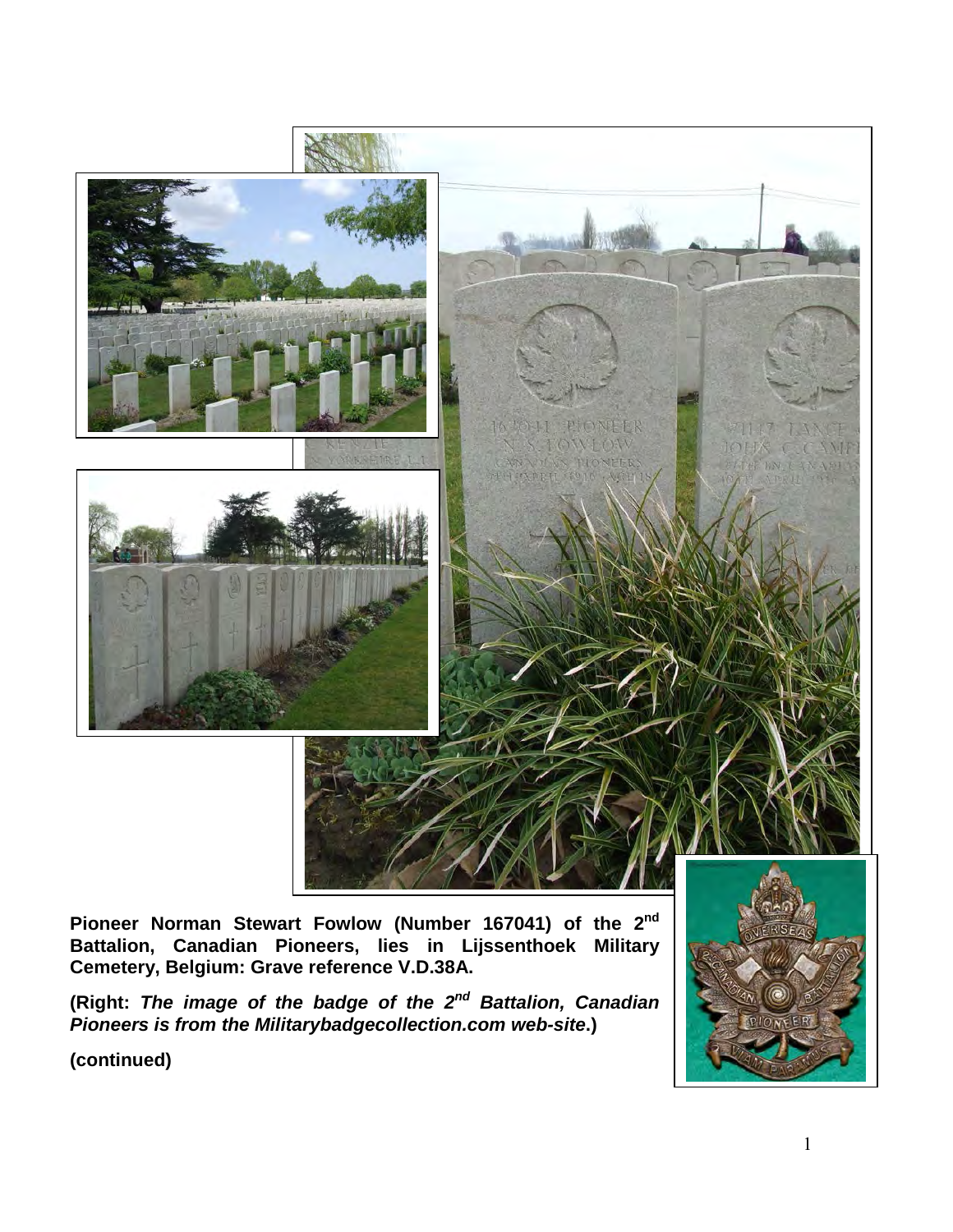

**Pioneer Norman Stewart Fowlow (Number 167041) of the 2nd Battalion, Canadian Pioneers, lies in Lijssenthoek Military Cemetery, Belgium: Grave reference V.D.38A.**

**(Right:** *The image of the badge of the 2nd Battalion, Canadian Pioneers is from the Militarybadgecollection.com web-site***.)**

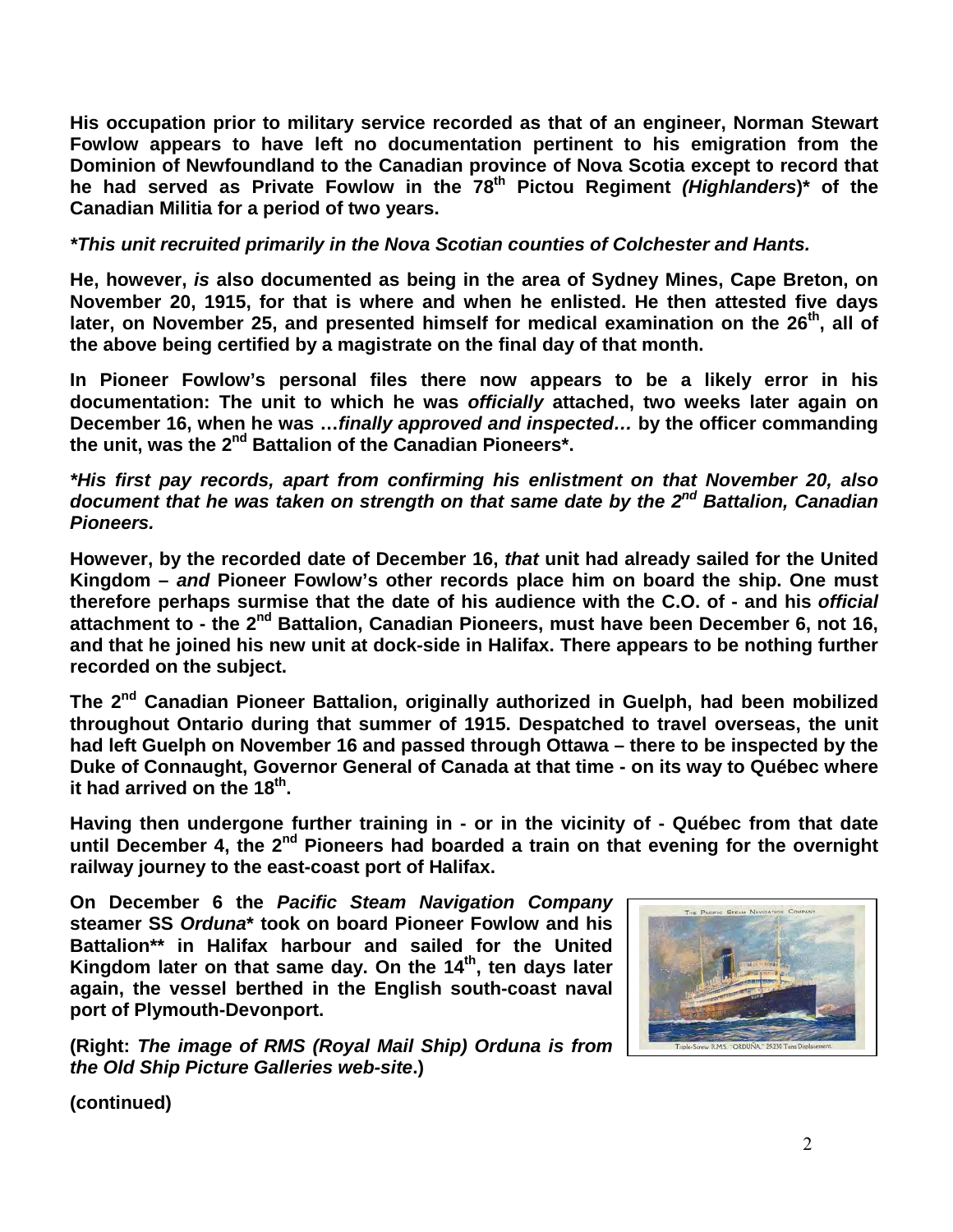**His occupation prior to military service recorded as that of an engineer, Norman Stewart Fowlow appears to have left no documentation pertinent to his emigration from the Dominion of Newfoundland to the Canadian province of Nova Scotia except to record that**  he had served as Private Fowlow in the 78<sup>th</sup> Pictou Regiment *(Highlanders*)\* of the **Canadian Militia for a period of two years.**

## *\*This unit recruited primarily in the Nova Scotian counties of Colchester and Hants.*

**He, however,** *is* **also documented as being in the area of Sydney Mines, Cape Breton, on November 20, 1915, for that is where and when he enlisted. He then attested five days later, on November 25, and presented himself for medical examination on the 26th, all of the above being certified by a magistrate on the final day of that month.**

**In Pioneer Fowlow's personal files there now appears to be a likely error in his documentation: The unit to which he was** *officially* **attached, two weeks later again on December 16, when he was …***finally approved and inspected…* **by the officer commanding the unit, was the 2nd Battalion of the Canadian Pioneers\*.** 

*\*His first pay records, apart from confirming his enlistment on that November 20, also document that he was taken on strength on that same date by the 2nd Battalion, Canadian Pioneers.*

**However, by the recorded date of December 16,** *that* **unit had already sailed for the United Kingdom –** *and* **Pioneer Fowlow's other records place him on board the ship. One must therefore perhaps surmise that the date of his audience with the C.O. of - and his** *official*  **attachment to - the 2nd Battalion, Canadian Pioneers, must have been December 6, not 16, and that he joined his new unit at dock-side in Halifax. There appears to be nothing further recorded on the subject.**

**The 2nd Canadian Pioneer Battalion, originally authorized in Guelph, had been mobilized throughout Ontario during that summer of 1915. Despatched to travel overseas, the unit had left Guelph on November 16 and passed through Ottawa – there to be inspected by the Duke of Connaught, Governor General of Canada at that time - on its way to Québec where it had arrived on the 18th.** 

**Having then undergone further training in - or in the vicinity of - Québec from that date until December 4, the 2nd Pioneers had boarded a train on that evening for the overnight railway journey to the east-coast port of Halifax.**

**On December 6 the** *Pacific Steam Navigation Company* **steamer SS** *Orduna***\* took on board Pioneer Fowlow and his Battalion\*\* in Halifax harbour and sailed for the United**  Kingdom later on that same day. On the 14<sup>th</sup>, ten days later **again, the vessel berthed in the English south-coast naval port of Plymouth-Devonport.**

**(Right:** *The image of RMS (Royal Mail Ship) Orduna is from the Old Ship Picture Galleries web-site***.)** 

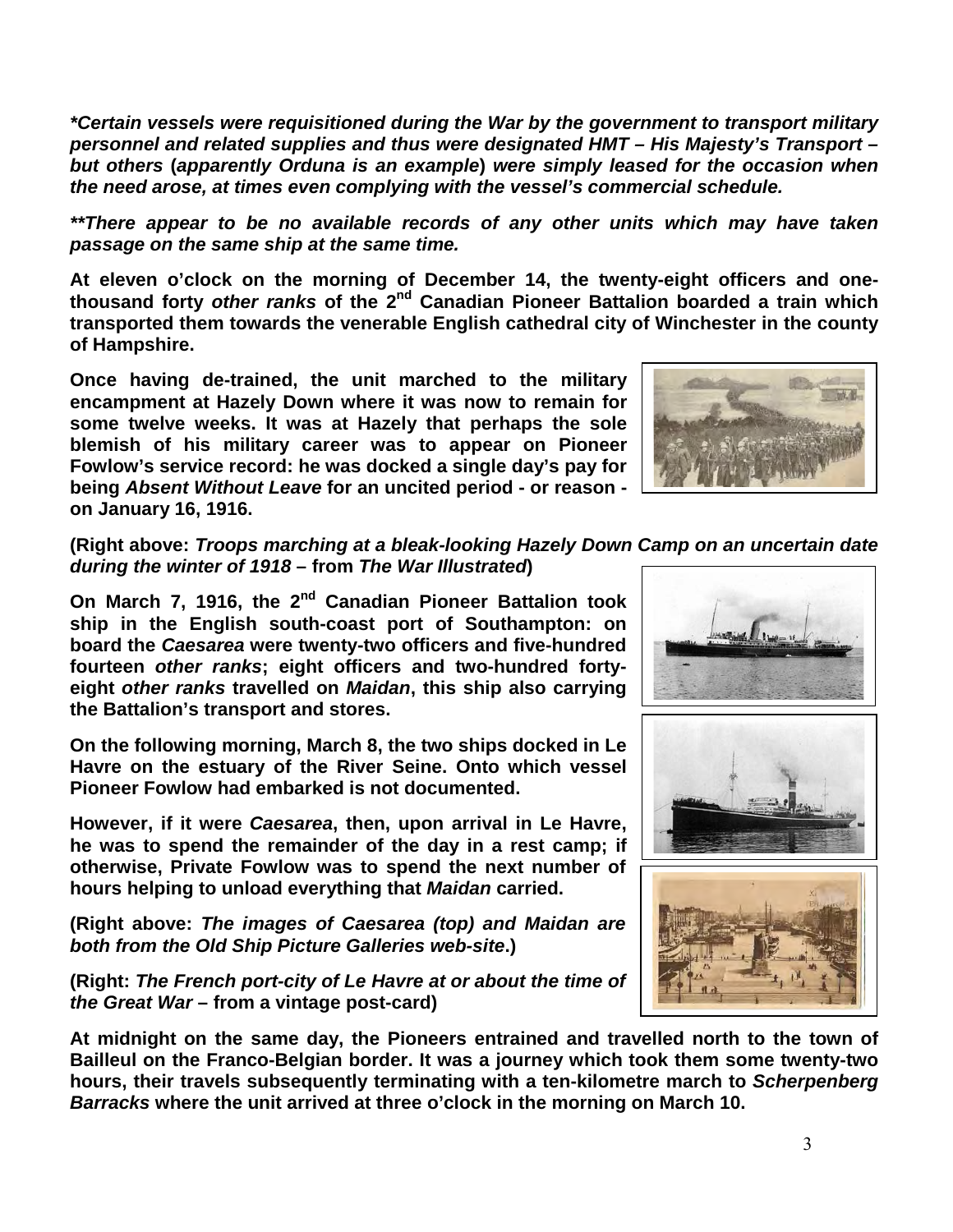*\*Certain vessels were requisitioned during the War by the government to transport military personnel and related supplies and thus were designated HMT – His Majesty's Transport – but others* **(***apparently Orduna is an example***)** *were simply leased for the occasion when the need arose, at times even complying with the vessel's commercial schedule.* 

*\*\*There appear to be no available records of any other units which may have taken passage on the same ship at the same time.* 

**At eleven o'clock on the morning of December 14, the twenty-eight officers and onethousand forty** *other ranks* **of the 2nd Canadian Pioneer Battalion boarded a train which transported them towards the venerable English cathedral city of Winchester in the county of Hampshire.** 

**Once having de-trained, the unit marched to the military encampment at Hazely Down where it was now to remain for some twelve weeks. It was at Hazely that perhaps the sole blemish of his military career was to appear on Pioneer Fowlow's service record: he was docked a single day's pay for being** *Absent Without Leave* **for an uncited period - or reason on January 16, 1916.**



**(Right above:** *Troops marching at a bleak-looking Hazely Down Camp on an uncertain date during the winter of 1918* **– from** *The War Illustrated***)** 

**On March 7, 1916, the 2nd Canadian Pioneer Battalion took ship in the English south-coast port of Southampton: on board the** *Caesarea* **were twenty-two officers and five-hundred fourteen** *other ranks***; eight officers and two-hundred fortyeight** *other ranks* **travelled on** *Maidan***, this ship also carrying the Battalion's transport and stores.**

**On the following morning, March 8, the two ships docked in Le Havre on the estuary of the River Seine. Onto which vessel Pioneer Fowlow had embarked is not documented.** 

**However, if it were** *Caesarea***, then, upon arrival in Le Havre, he was to spend the remainder of the day in a rest camp; if otherwise, Private Fowlow was to spend the next number of hours helping to unload everything that** *Maidan* **carried.**

**(Right above:** *The images of Caesarea (top) and Maidan are both from the Old Ship Picture Galleries web-site***.)**

**(Right:** *The French port-city of Le Havre at or about the time of the Great War* **– from a vintage post-card)**

**At midnight on the same day, the Pioneers entrained and travelled north to the town of Bailleul on the Franco-Belgian border. It was a journey which took them some twenty-two hours, their travels subsequently terminating with a ten-kilometre march to** *Scherpenberg Barracks* **where the unit arrived at three o'clock in the morning on March 10.** 





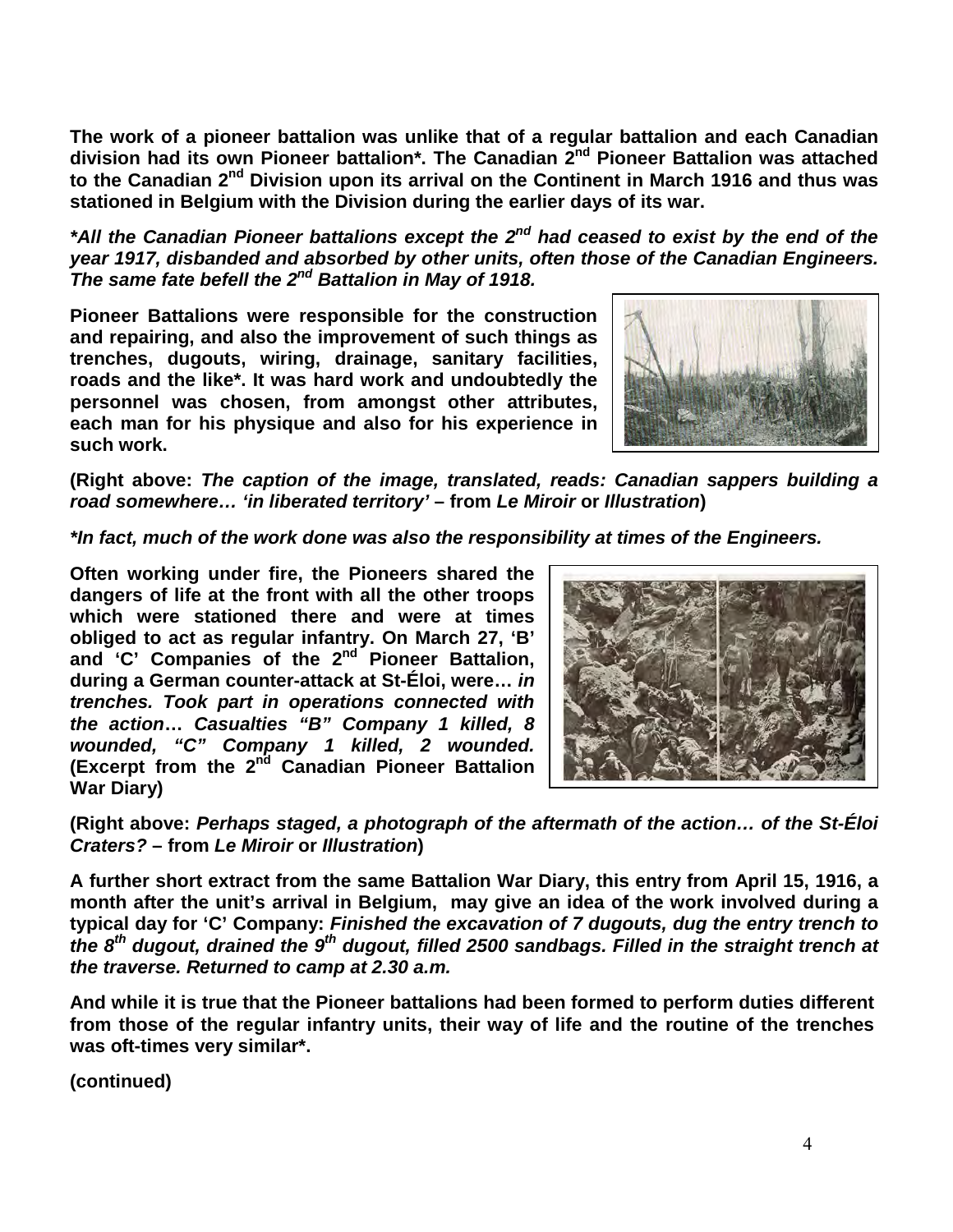**The work of a pioneer battalion was unlike that of a regular battalion and each Canadian division had its own Pioneer battalion\*. The Canadian 2nd Pioneer Battalion was attached to the Canadian 2nd Division upon its arrival on the Continent in March 1916 and thus was stationed in Belgium with the Division during the earlier days of its war.**

*\*All the Canadian Pioneer battalions except the 2nd had ceased to exist by the end of the year 1917, disbanded and absorbed by other units, often those of the Canadian Engineers. The same fate befell the 2nd Battalion in May of 1918.*

**Pioneer Battalions were responsible for the construction and repairing, and also the improvement of such things as trenches, dugouts, wiring, drainage, sanitary facilities, roads and the like\*. It was hard work and undoubtedly the personnel was chosen, from amongst other attributes, each man for his physique and also for his experience in such work.** 



**(Right above:** *The caption of the image, translated, reads: Canadian sappers building a road somewhere… 'in liberated territory'* **– from** *Le Miroir* **or** *Illustration***)** 

*\*In fact, much of the work done was also the responsibility at times of the Engineers.* 

**Often working under fire, the Pioneers shared the dangers of life at the front with all the other troops which were stationed there and were at times obliged to act as regular infantry. On March 27, 'B' and 'C' Companies of the 2nd Pioneer Battalion, during a German counter-attack at St-Éloi, were…** *in trenches. Took part in operations connected with the action***…** *Casualties "B" Company 1 killed, 8 wounded, "C" Company 1 killed, 2 wounded.* **(Excerpt from the 2nd Canadian Pioneer Battalion War Diary)**



**(Right above:** *Perhaps staged, a photograph of the aftermath of the action… of the St-Éloi Craters?* **– from** *Le Miroir* **or** *Illustration***)** 

**A further short extract from the same Battalion War Diary, this entry from April 15, 1916, a month after the unit's arrival in Belgium, may give an idea of the work involved during a typical day for 'C' Company:** *Finished the excavation of 7 dugouts, dug the entry trench to the 8th dugout, drained the 9th dugout, filled 2500 sandbags. Filled in the straight trench at the traverse. Returned to camp at 2.30 a.m.*

**And while it is true that the Pioneer battalions had been formed to perform duties different from those of the regular infantry units, their way of life and the routine of the trenches was oft-times very similar\*.**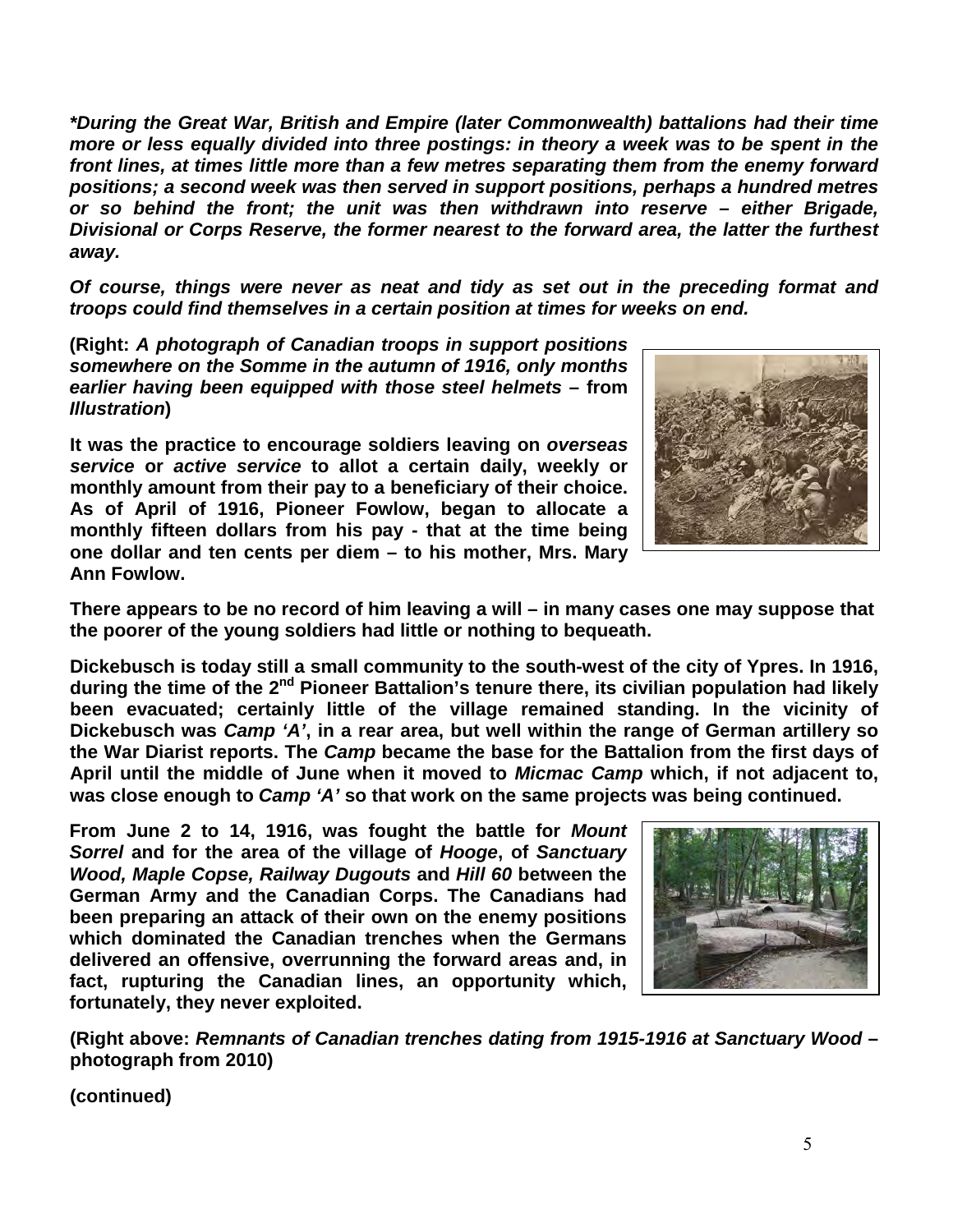*\*During the Great War, British and Empire (later Commonwealth) battalions had their time more or less equally divided into three postings: in theory a week was to be spent in the front lines, at times little more than a few metres separating them from the enemy forward positions; a second week was then served in support positions, perhaps a hundred metres or so behind the front; the unit was then withdrawn into reserve – either Brigade, Divisional or Corps Reserve, the former nearest to the forward area, the latter the furthest away.* 

*Of course, things were never as neat and tidy as set out in the preceding format and troops could find themselves in a certain position at times for weeks on end.*

**(Right:** *A photograph of Canadian troops in support positions somewhere on the Somme in the autumn of 1916, only months earlier having been equipped with those steel helmets* **– from**  *Illustration***)** 

**It was the practice to encourage soldiers leaving on** *overseas service* **or** *active service* **to allot a certain daily, weekly or monthly amount from their pay to a beneficiary of their choice. As of April of 1916, Pioneer Fowlow, began to allocate a monthly fifteen dollars from his pay - that at the time being one dollar and ten cents per diem – to his mother, Mrs. Mary Ann Fowlow.** 



**There appears to be no record of him leaving a will – in many cases one may suppose that the poorer of the young soldiers had little or nothing to bequeath.**

**Dickebusch is today still a small community to the south-west of the city of Ypres. In 1916, during the time of the 2nd Pioneer Battalion's tenure there, its civilian population had likely been evacuated; certainly little of the village remained standing. In the vicinity of Dickebusch was** *Camp 'A'***, in a rear area, but well within the range of German artillery so the War Diarist reports. The** *Camp* **became the base for the Battalion from the first days of April until the middle of June when it moved to** *Micmac Camp* **which, if not adjacent to, was close enough to** *Camp 'A'* **so that work on the same projects was being continued.** 

**From June 2 to 14, 1916, was fought the battle for** *Mount Sorrel* **and for the area of the village of** *Hooge***, of** *Sanctuary Wood, Maple Copse, Railway Dugouts* **and** *Hill 60* **between the German Army and the Canadian Corps. The Canadians had been preparing an attack of their own on the enemy positions which dominated the Canadian trenches when the Germans delivered an offensive, overrunning the forward areas and, in fact, rupturing the Canadian lines, an opportunity which, fortunately, they never exploited.**



**(Right above:** *Remnants of Canadian trenches dating from 1915-1916 at Sanctuary Wood* **– photograph from 2010)**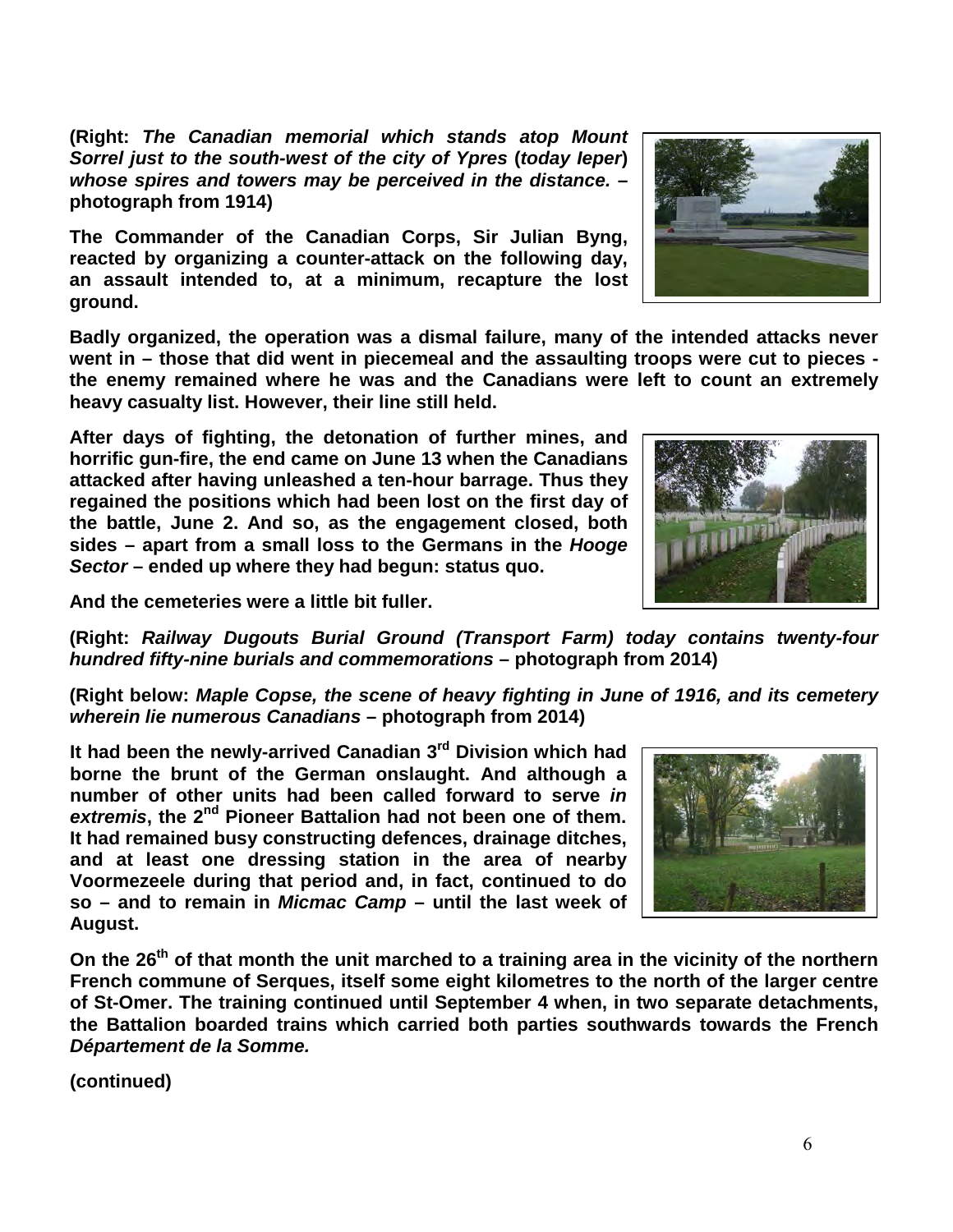**(Right:** *The Canadian memorial which stands atop Mount Sorrel just to the south-west of the city of Ypres* **(***today Ieper***)** *whose spires and towers may be perceived in the distance.* **– photograph from 1914)**

**The Commander of the Canadian Corps, Sir Julian Byng, reacted by organizing a counter-attack on the following day, an assault intended to, at a minimum, recapture the lost ground.**

**Badly organized, the operation was a dismal failure, many of the intended attacks never went in – those that did went in piecemeal and the assaulting troops were cut to pieces the enemy remained where he was and the Canadians were left to count an extremely heavy casualty list. However, their line still held.**

**After days of fighting, the detonation of further mines, and horrific gun-fire, the end came on June 13 when the Canadians attacked after having unleashed a ten-hour barrage. Thus they regained the positions which had been lost on the first day of the battle, June 2. And so, as the engagement closed, both sides – apart from a small loss to the Germans in the** *Hooge Sector* **– ended up where they had begun: status quo.**

**And the cemeteries were a little bit fuller.**

**(Right:** *Railway Dugouts Burial Ground (Transport Farm) today contains twenty-four hundred fifty-nine burials and commemorations* **– photograph from 2014)**

**(Right below:** *Maple Copse, the scene of heavy fighting in June of 1916, and its cemetery wherein lie numerous Canadians* **– photograph from 2014)**

**It had been the newly-arrived Canadian 3rd Division which had borne the brunt of the German onslaught. And although a number of other units had been called forward to serve** *in extremis***, the 2nd Pioneer Battalion had not been one of them. It had remained busy constructing defences, drainage ditches, and at least one dressing station in the area of nearby Voormezeele during that period and, in fact, continued to do so – and to remain in** *Micmac Camp* **– until the last week of August.**

On the 26<sup>th</sup> of that month the unit marched to a training area in the vicinity of the northern **French commune of Serques, itself some eight kilometres to the north of the larger centre of St-Omer. The training continued until September 4 when, in two separate detachments, the Battalion boarded trains which carried both parties southwards towards the French**  *Département de la Somme.* 





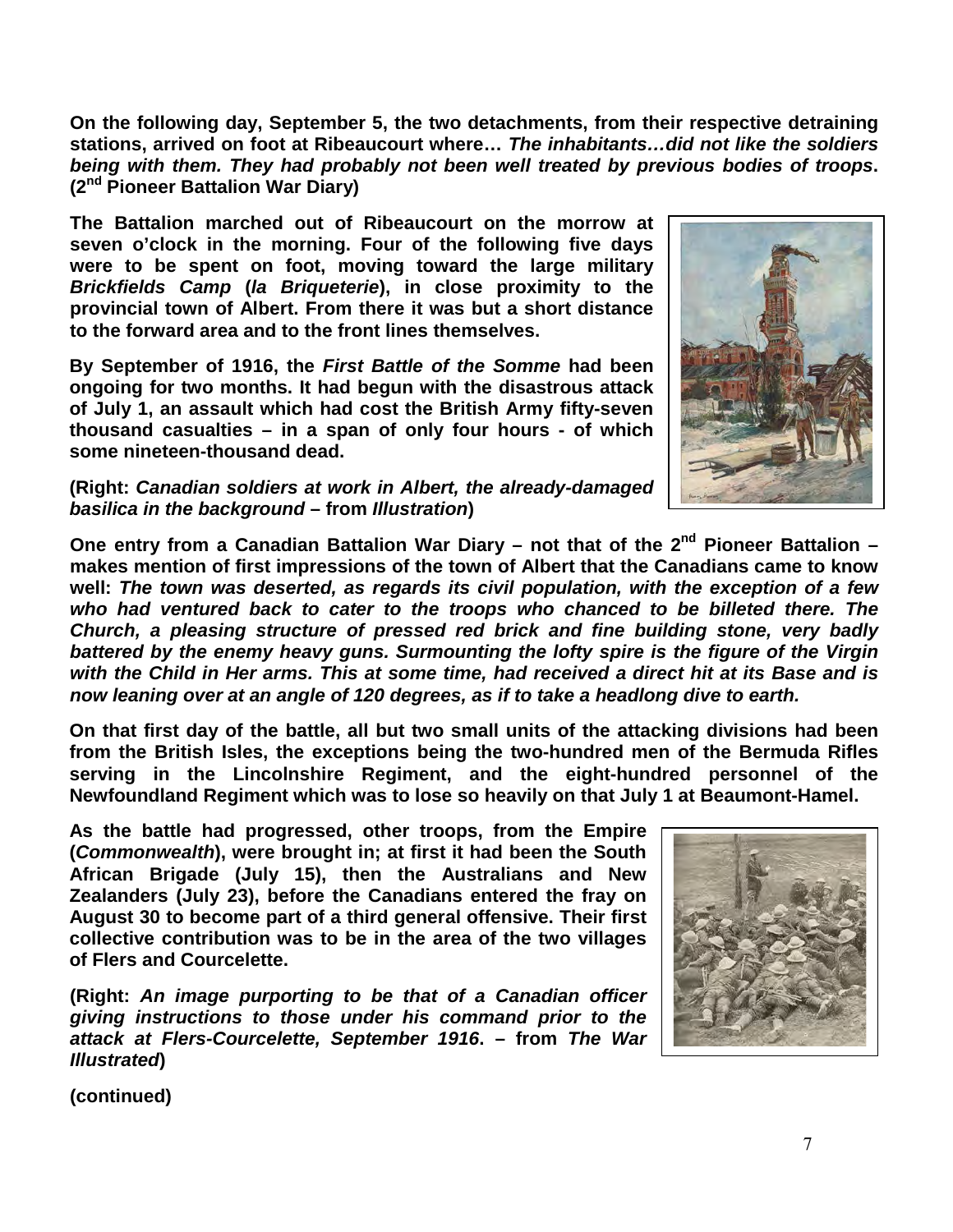**On the following day, September 5, the two detachments, from their respective detraining stations, arrived on foot at Ribeaucourt where…** *The inhabitants…did not like the soldiers being with them. They had probably not been well treated by previous bodies of troops***. (2nd Pioneer Battalion War Diary)** 

**The Battalion marched out of Ribeaucourt on the morrow at seven o'clock in the morning. Four of the following five days were to be spent on foot, moving toward the large military**  *Brickfields Camp* **(***la Briqueterie***), in close proximity to the provincial town of Albert. From there it was but a short distance to the forward area and to the front lines themselves.**

**By September of 1916, the** *First Battle of the Somme* **had been ongoing for two months. It had begun with the disastrous attack of July 1, an assault which had cost the British Army fifty-seven thousand casualties – in a span of only four hours - of which some nineteen-thousand dead.**



**(Right:** *Canadian soldiers at work in Albert, the already-damaged basilica in the background* **– from** *Illustration***)** 

One entry from a Canadian Battalion War Diary – not that of the 2<sup>nd</sup> Pioneer Battalion – **makes mention of first impressions of the town of Albert that the Canadians came to know well:** *The town was deserted, as regards its civil population, with the exception of a few who had ventured back to cater to the troops who chanced to be billeted there. The Church, a pleasing structure of pressed red brick and fine building stone, very badly battered by the enemy heavy guns. Surmounting the lofty spire is the figure of the Virgin with the Child in Her arms. This at some time, had received a direct hit at its Base and is now leaning over at an angle of 120 degrees, as if to take a headlong dive to earth.*

**On that first day of the battle, all but two small units of the attacking divisions had been from the British Isles, the exceptions being the two-hundred men of the Bermuda Rifles serving in the Lincolnshire Regiment, and the eight-hundred personnel of the Newfoundland Regiment which was to lose so heavily on that July 1 at Beaumont-Hamel.** 

**As the battle had progressed, other troops, from the Empire (***Commonwealth***), were brought in; at first it had been the South African Brigade (July 15), then the Australians and New Zealanders (July 23), before the Canadians entered the fray on August 30 to become part of a third general offensive. Their first collective contribution was to be in the area of the two villages of Flers and Courcelette.**

**(Right:** *An image purporting to be that of a Canadian officer giving instructions to those under his command prior to the attack at Flers-Courcelette, September 1916***. – from** *The War Illustrated***)** 

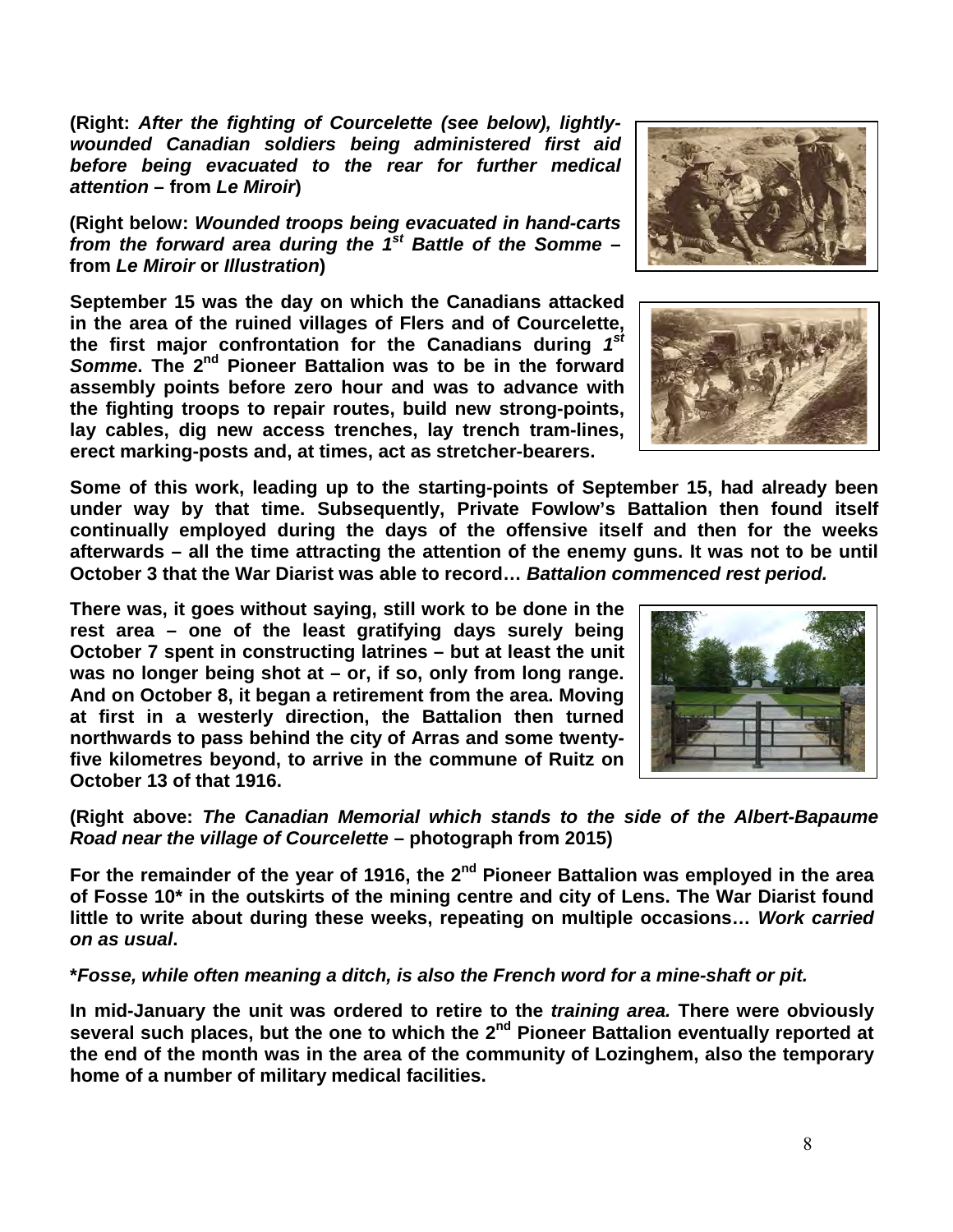**(Right:** *After the fighting of Courcelette (see below), lightlywounded Canadian soldiers being administered first aid before being evacuated to the rear for further medical attention* **– from** *Le Miroir***)** 

**(Right below:** *Wounded troops being evacuated in hand-carts from the forward area during the 1st Battle of the Somme* **– from** *Le Miroir* **or** *Illustration***)** 

**September 15 was the day on which the Canadians attacked in the area of the ruined villages of Flers and of Courcelette, the first major confrontation for the Canadians during** *1st Somme***. The 2nd Pioneer Battalion was to be in the forward assembly points before zero hour and was to advance with the fighting troops to repair routes, build new strong-points, lay cables, dig new access trenches, lay trench tram-lines, erect marking-posts and, at times, act as stretcher-bearers.**

**Some of this work, leading up to the starting-points of September 15, had already been under way by that time. Subsequently, Private Fowlow's Battalion then found itself continually employed during the days of the offensive itself and then for the weeks afterwards – all the time attracting the attention of the enemy guns. It was not to be until October 3 that the War Diarist was able to record…** *Battalion commenced rest period.*

**There was, it goes without saying, still work to be done in the rest area – one of the least gratifying days surely being October 7 spent in constructing latrines – but at least the unit was no longer being shot at – or, if so, only from long range. And on October 8, it began a retirement from the area. Moving at first in a westerly direction, the Battalion then turned northwards to pass behind the city of Arras and some twentyfive kilometres beyond, to arrive in the commune of Ruitz on October 13 of that 1916.**

**(Right above:** *The Canadian Memorial which stands to the side of the Albert-Bapaume Road near the village of Courcelette* **– photograph from 2015)**

**For the remainder of the year of 1916, the 2nd Pioneer Battalion was employed in the area of Fosse 10\* in the outskirts of the mining centre and city of Lens. The War Diarist found little to write about during these weeks, repeating on multiple occasions…** *Work carried on as usual***.** 

**\****Fosse, while often meaning a ditch, is also the French word for a mine-shaft or pit.*

**In mid-January the unit was ordered to retire to the** *training area.* **There were obviously several such places, but the one to which the 2nd Pioneer Battalion eventually reported at the end of the month was in the area of the community of Lozinghem, also the temporary home of a number of military medical facilities.**





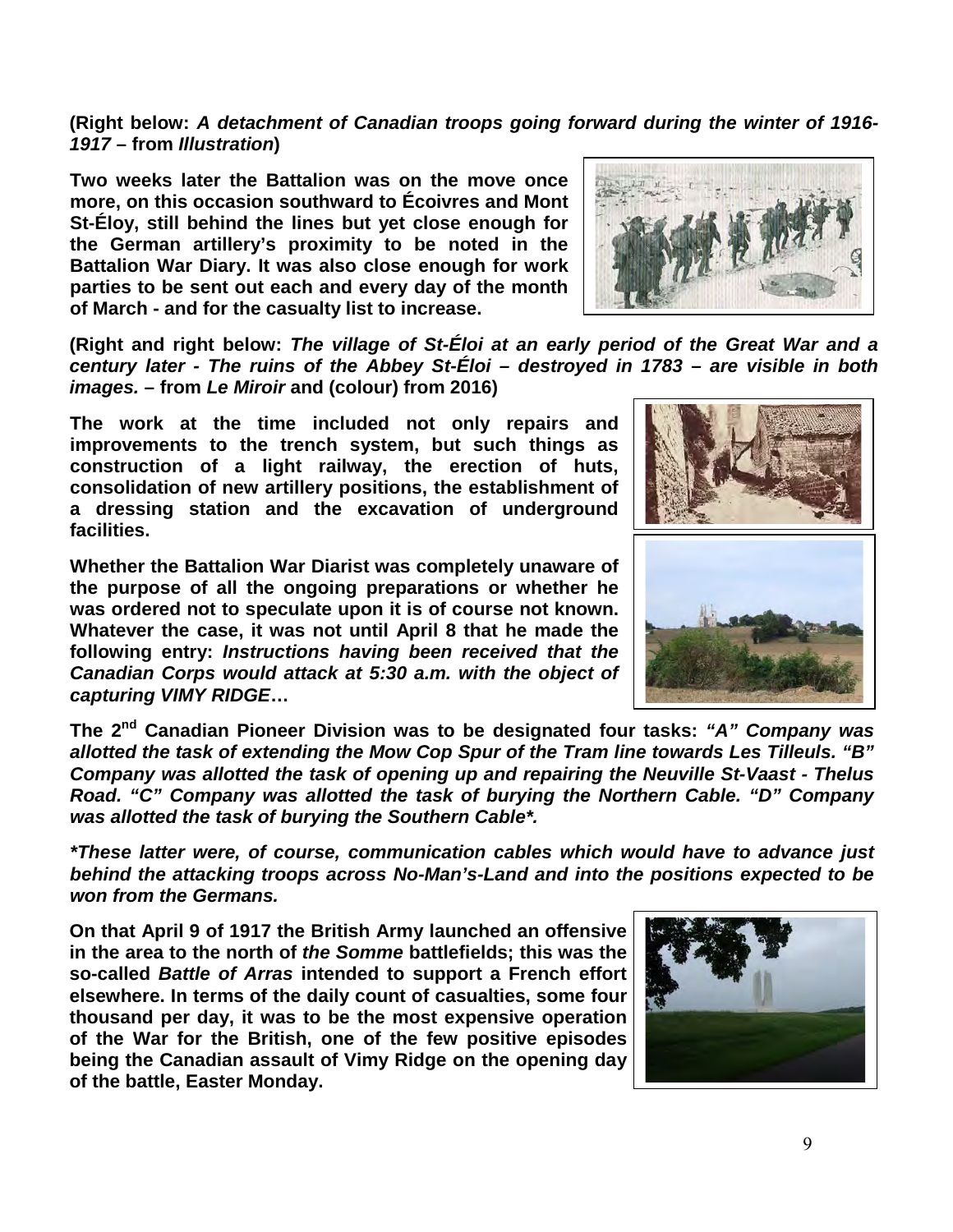**(Right below:** *A detachment of Canadian troops going forward during the winter of 1916- 1917* **– from** *Illustration***)** 

**Two weeks later the Battalion was on the move once more, on this occasion southward to Écoivres and Mont St-Éloy, still behind the lines but yet close enough for the German artillery's proximity to be noted in the Battalion War Diary. It was also close enough for work parties to be sent out each and every day of the month of March - and for the casualty list to increase.**

**(Right and right below:** *The village of St-Éloi at an early period of the Great War and a century later - The ruins of the Abbey St-Éloi – destroyed in 1783 – are visible in both images.* **– from** *Le Miroir* **and (colour) from 2016)**

**The work at the time included not only repairs and improvements to the trench system, but such things as construction of a light railway, the erection of huts, consolidation of new artillery positions, the establishment of a dressing station and the excavation of underground facilities.**

**Whether the Battalion War Diarist was completely unaware of the purpose of all the ongoing preparations or whether he was ordered not to speculate upon it is of course not known. Whatever the case, it was not until April 8 that he made the following entry:** *Instructions having been received that the Canadian Corps would attack at 5:30 a.m. with the object of capturing VIMY RIDGE***…** 

**The 2nd Canadian Pioneer Division was to be designated four tasks:** *"A" Company was allotted the task of extending the Mow Cop Spur of the Tram line towards Les Tilleuls. "B" Company was allotted the task of opening up and repairing the Neuville St-Vaast - Thelus Road. "C" Company was allotted the task of burying the Northern Cable. "D" Company was allotted the task of burying the Southern Cable\*.*

*\*These latter were, of course, communication cables which would have to advance just behind the attacking troops across No-Man's-Land and into the positions expected to be won from the Germans.*

**On that April 9 of 1917 the British Army launched an offensive in the area to the north of** *the Somme* **battlefields; this was the so-called** *Battle of Arras* **intended to support a French effort elsewhere. In terms of the daily count of casualties, some four thousand per day, it was to be the most expensive operation of the War for the British, one of the few positive episodes being the Canadian assault of Vimy Ridge on the opening day of the battle, Easter Monday.** 







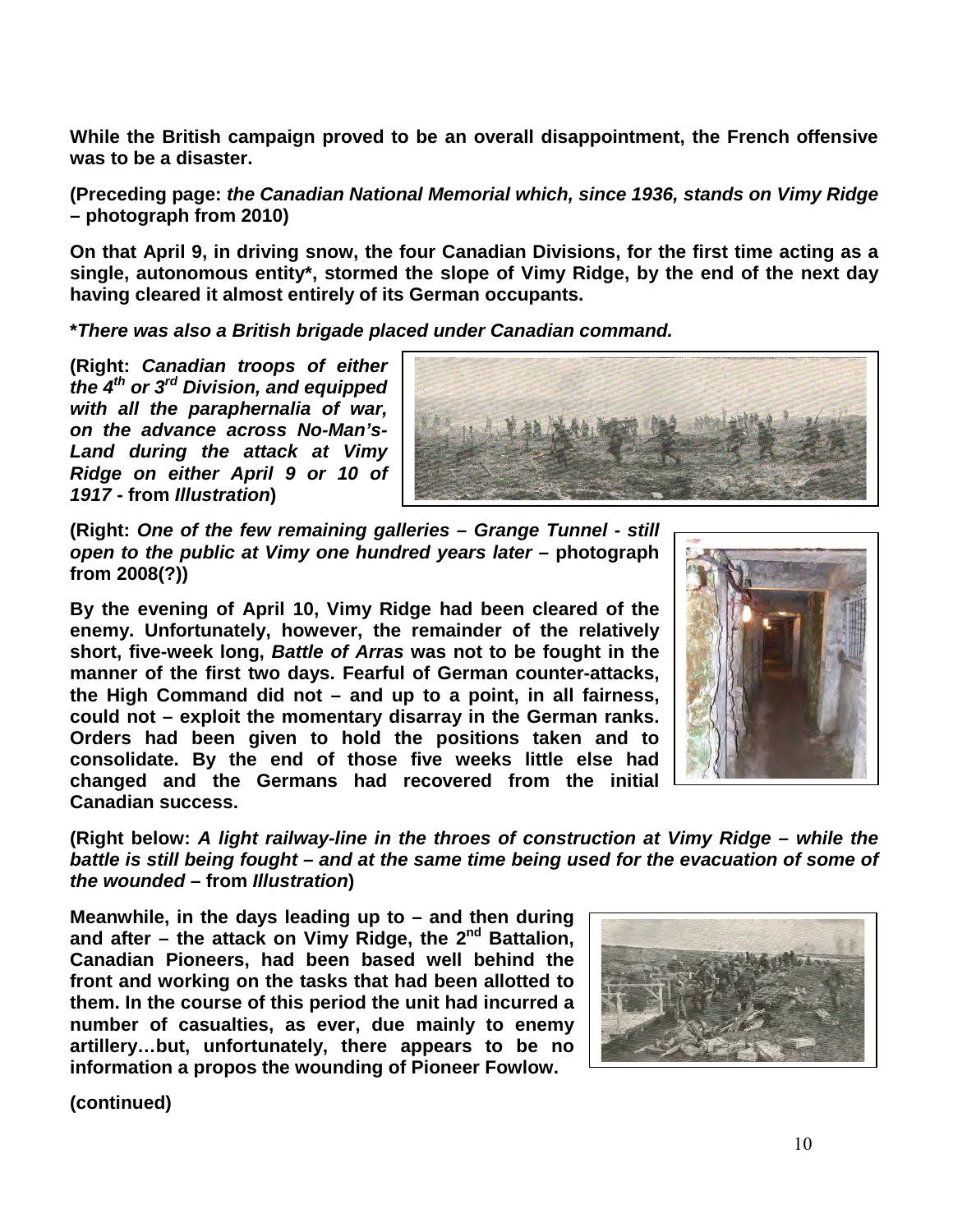**While the British campaign proved to be an overall disappointment, the French offensive was to be a disaster.** 

**(Preceding page:** *the Canadian National Memorial which, since 1936, stands on Vimy Ridge* **– photograph from 2010)**

**On that April 9, in driving snow, the four Canadian Divisions, for the first time acting as a single, autonomous entity\*, stormed the slope of Vimy Ridge, by the end of the next day having cleared it almost entirely of its German occupants.**

**\****There was also a British brigade placed under Canadian command.*

**(Right:** *Canadian troops of either the 4th or 3rd Division, and equipped with all the paraphernalia of war, on the advance across No-Man's-Land during the attack at Vimy Ridge on either April 9 or 10 of 1917* **- from** *Illustration***)** 



**(Right:** *One of the few remaining galleries – Grange Tunnel - still open to the public at Vimy one hundred years later* **– photograph from 2008(?))**

**By the evening of April 10, Vimy Ridge had been cleared of the enemy. Unfortunately, however, the remainder of the relatively short, five-week long,** *Battle of Arras* **was not to be fought in the manner of the first two days. Fearful of German counter-attacks, the High Command did not – and up to a point, in all fairness, could not – exploit the momentary disarray in the German ranks. Orders had been given to hold the positions taken and to consolidate. By the end of those five weeks little else had changed and the Germans had recovered from the initial Canadian success.**



**(Right below:** *A light railway-line in the throes of construction at Vimy Ridge – while the battle is still being fought – and at the same time being used for the evacuation of some of the wounded* **– from** *Illustration***)** 

**Meanwhile, in the days leading up to – and then during and after – the attack on Vimy Ridge, the 2nd Battalion, Canadian Pioneers, had been based well behind the front and working on the tasks that had been allotted to them. In the course of this period the unit had incurred a number of casualties, as ever, due mainly to enemy artillery…but, unfortunately, there appears to be no information a propos the wounding of Pioneer Fowlow.**